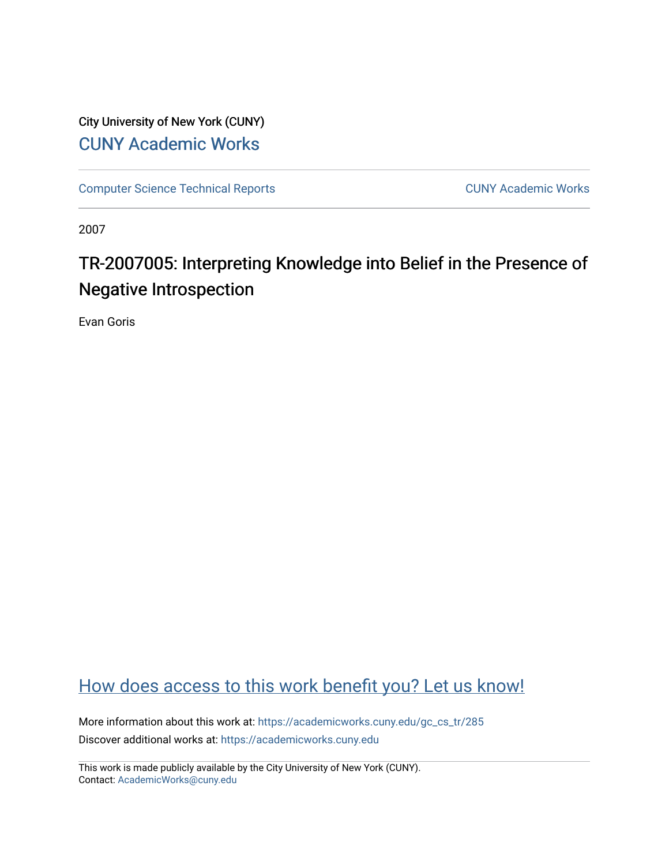## City University of New York (CUNY) [CUNY Academic Works](https://academicworks.cuny.edu/)

[Computer Science Technical Reports](https://academicworks.cuny.edu/gc_cs_tr) **CUNY Academic Works** CUNY Academic Works

2007

# TR-2007005: Interpreting Knowledge into Belief in the Presence of Negative Introspection

Evan Goris

## [How does access to this work benefit you? Let us know!](http://ols.cuny.edu/academicworks/?ref=https://academicworks.cuny.edu/gc_cs_tr/285)

More information about this work at: [https://academicworks.cuny.edu/gc\\_cs\\_tr/285](https://academicworks.cuny.edu/gc_cs_tr/285)  Discover additional works at: [https://academicworks.cuny.edu](https://academicworks.cuny.edu/?)

This work is made publicly available by the City University of New York (CUNY). Contact: [AcademicWorks@cuny.edu](mailto:AcademicWorks@cuny.edu)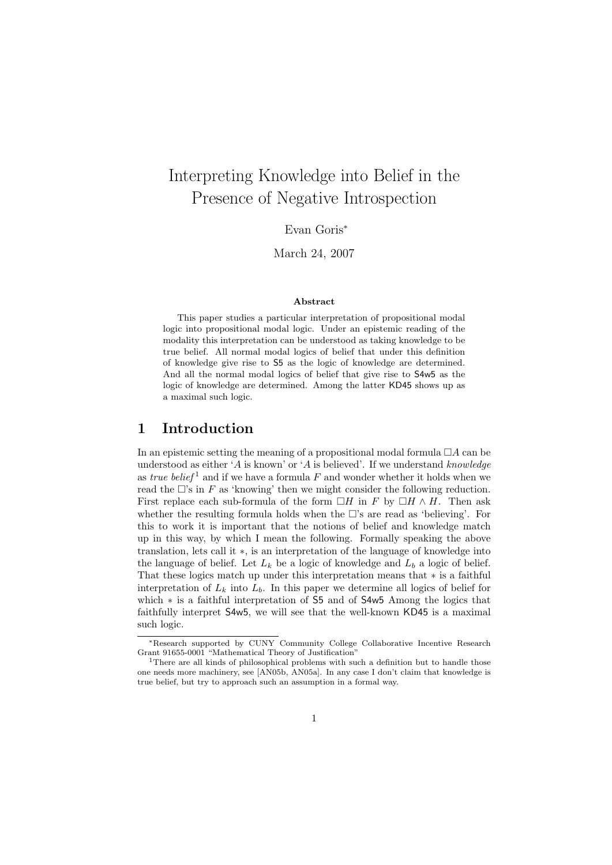## Interpreting Knowledge into Belief in the Presence of Negative Introspection

Evan Goris<sup>∗</sup>

March 24, 2007

#### Abstract

This paper studies a particular interpretation of propositional modal logic into propositional modal logic. Under an epistemic reading of the modality this interpretation can be understood as taking knowledge to be true belief. All normal modal logics of belief that under this definition of knowledge give rise to S5 as the logic of knowledge are determined. And all the normal modal logics of belief that give rise to S4w5 as the logic of knowledge are determined. Among the latter KD45 shows up as a maximal such logic.

### 1 Introduction

In an epistemic setting the meaning of a propositional modal formula  $\Box A$  can be understood as either 'A is known' or 'A is believed'. If we understand knowledge as true belief<sup>1</sup> and if we have a formula F and wonder whether it holds when we read the  $\Box$ 's in F as 'knowing' then we might consider the following reduction. First replace each sub-formula of the form  $\Box H$  in F by  $\Box H \wedge H$ . Then ask whether the resulting formula holds when the  $\Box$ 's are read as 'believing'. For this to work it is important that the notions of belief and knowledge match up in this way, by which I mean the following. Formally speaking the above translation, lets call it ∗, is an interpretation of the language of knowledge into the language of belief. Let  $L_k$  be a logic of knowledge and  $L_b$  a logic of belief. That these logics match up under this interpretation means that ∗ is a faithful interpretation of  $L_k$  into  $L_b$ . In this paper we determine all logics of belief for which ∗ is a faithful interpretation of S5 and of S4w5 Among the logics that faithfully interpret S4w5, we will see that the well-known KD45 is a maximal such logic.

<sup>∗</sup>Research supported by CUNY Community College Collaborative Incentive Research Grant 91655-0001 "Mathematical Theory of Justification"

<sup>&</sup>lt;sup>1</sup>There are all kinds of philosophical problems with such a definition but to handle those one needs more machinery, see [AN05b, AN05a]. In any case I don't claim that knowledge is true belief, but try to approach such an assumption in a formal way.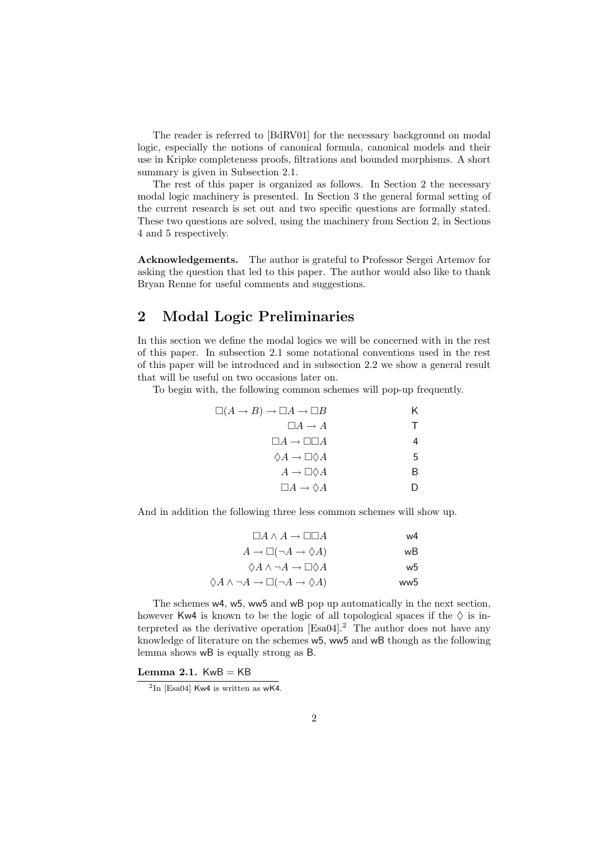The reader is referred to [BdRV01] for the necessary background on modal logic, especially the notions of canonical formula, canonical models and their use in Kripke completeness proofs, filtrations and bounded morphisms. A short summary is given in Subsection 2.1.

The rest of this paper is organized as follows. In Section 2 the necessary modal logic machinery is presented. In Section 3 the general formal setting of the current research is set out and two specific questions are formally stated. These two questions are solved, using the machinery from Section 2, in Sections 4 and 5 respectively.

Acknowledgements. The author is grateful to Professor Sergei Artemov for asking the question that led to this paper. The author would also like to thank Bryan Renne for useful comments and suggestions.

## 2 Modal Logic Preliminaries

In this section we define the modal logics we will be concerned with in the rest of this paper. In subsection 2.1 some notational conventions used in the rest of this paper will be introduced and in subsection 2.2 we show a general result that will be useful on two occasions later on.

To begin with, the following common schemes will pop-up frequently.

| $\Box(A \to B) \to \Box A \to \Box B$    | Κ |
|------------------------------------------|---|
| $\Box A \rightarrow A$                   | т |
| $\Box A \rightarrow \Box \Box A$         | 4 |
| $\Diamond A \rightarrow \Box \Diamond A$ | 5 |
| $A \to \Box \Diamond A$                  | В |
| $\Box A \rightarrow \Diamond A$          |   |
|                                          |   |

And in addition the following three less common schemes will show up.

| w4  | $\Box A \wedge A \rightarrow \Box \Box A$                                 |
|-----|---------------------------------------------------------------------------|
| wВ  | $A \to \Box(\neg A \to \Diamond A)$                                       |
| w5  | $\Diamond A \land \neg A \rightarrow \Box \Diamond A$                     |
| ww5 | $\Diamond A \land \neg A \rightarrow \Box(\neg A \rightarrow \Diamond A)$ |

The schemes w4, w5, ww5 and wB pop up automatically in the next section, however Kw4 is known to be the logic of all topological spaces if the  $\Diamond$  is interpreted as the derivative operation [Esa04].<sup>2</sup> The author does not have any knowledge of literature on the schemes w5, ww5 and wB though as the following lemma shows wB is equally strong as B.

Lemma 2.1.  $KwB = KB$ 

 ${}^{2}\text{In}$  [Esa04] Kw4 is written as wK4.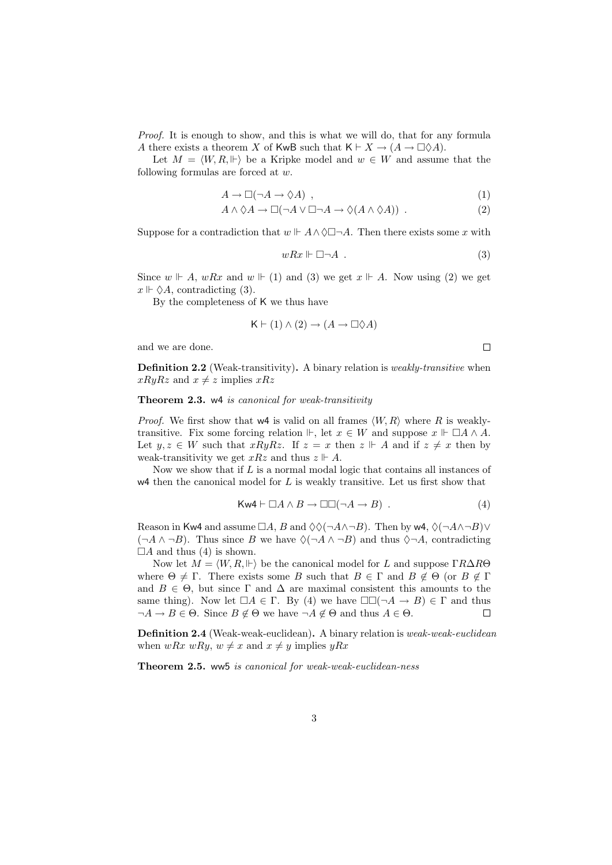Proof. It is enough to show, and this is what we will do, that for any formula A there exists a theorem X of KwB such that  $\mathsf{K} \vdash X \to (A \to \Box \Diamond A)$ .

Let  $M = \langle W, R, \Vdash \rangle$  be a Kripke model and  $w \in W$  and assume that the following formulas are forced at w.

$$
A \to \Box(\neg A \to \Diamond A) \quad , \tag{1}
$$

$$
A \wedge \Diamond A \to \Box(\neg A \vee \Box \neg A \to \Diamond(A \wedge \Diamond A)) . \tag{2}
$$

Suppose for a contradiction that  $w \Vdash A \land \Diamond \Box \neg A$ . Then there exists some x with

$$
wRx \Vdash \Box \neg A . \tag{3}
$$

 $\Box$ 

Since  $w \Vdash A$ ,  $wRx$  and  $w \Vdash (1)$  and (3) we get  $x \Vdash A$ . Now using (2) we get  $x \Vdash \Diamond A$ , contradicting (3).

By the completeness of K we thus have

$$
K \vdash (1) \land (2) \to (A \to \Box \Diamond A)
$$

and we are done.

Definition 2.2 (Weak-transitivity). A binary relation is *weakly-transitive* when  $xRyRz$  and  $x \neq z$  implies  $xRz$ 

#### Theorem 2.3. w4 is canonical for weak-transitivity

*Proof.* We first show that  $w4$  is valid on all frames  $\langle W, R \rangle$  where R is weaklytransitive. Fix some forcing relation  $\mathbb{H}$ , let  $x \in W$  and suppose  $x \mathbb{H} \square A \wedge A$ . Let  $y, z \in W$  such that  $xRyRz$ . If  $z = x$  then  $z \not\vdash A$  and if  $z \neq x$  then by weak-transitivity we get  $xRz$  and thus  $z \Vdash A$ .

Now we show that if  $L$  is a normal modal logic that contains all instances of  $w4$  then the canonical model for  $L$  is weakly transitive. Let us first show that

$$
\mathsf{Kw4} \vdash \Box A \land B \to \Box \Box (\neg A \to B) . \tag{4}
$$

Reason in Kw4 and assume  $\Box A$ , B and  $\Diamond \Diamond (\neg A \land \neg B)$ . Then by w4,  $\Diamond (\neg A \land \neg B) \lor$  $(\neg A \land \neg B)$ . Thus since B we have  $\Diamond(\neg A \land \neg B)$  and thus  $\Diamond \neg A$ , contradicting  $\Box A$  and thus (4) is shown.

Now let  $M = \langle W, R, \Vdash \rangle$  be the canonical model for L and suppose  $\Gamma R \Delta R \Theta$ where  $\Theta \neq \Gamma$ . There exists some B such that  $B \in \Gamma$  and  $B \notin \Theta$  (or  $B \notin \Gamma$ ) and  $B \in \Theta$ , but since  $\Gamma$  and  $\Delta$  are maximal consistent this amounts to the same thing). Now let  $\Box A \in \Gamma$ . By (4) we have  $\Box \Box (\neg A \rightarrow B) \in \Gamma$  and thus  $\neg A \rightarrow B \in \Theta$ . Since  $B \notin \Theta$  we have  $\neg A \notin \Theta$  and thus  $A \in \Theta$ .  $\neg A \to B \in \Theta$ . Since  $B \notin \Theta$  we have  $\neg A \notin \Theta$  and thus  $A \in \Theta$ .

Definition 2.4 (Weak-weak-euclidean). A binary relation is weak-weak-euclidean when  $wRx wRy, w \neq x$  and  $x \neq y$  implies  $yRx$ 

Theorem 2.5. ww5 is canonical for weak-weak-euclidean-ness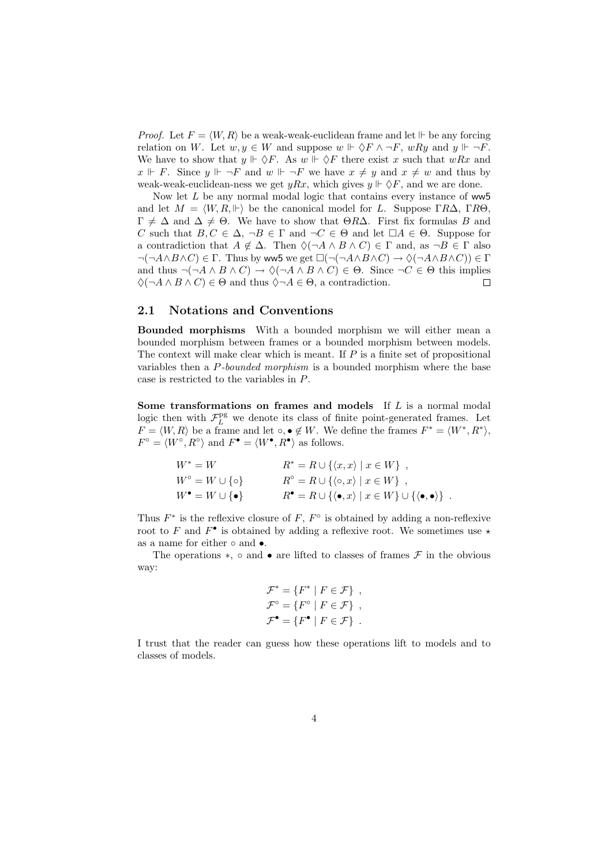*Proof.* Let  $F = \langle W, R \rangle$  be a weak-weak-euclidean frame and let  $\Vdash$  be any forcing relation on W. Let  $w, y \in W$  and suppose  $w \Vdash \Diamond F \land \neg F$ ,  $wRy$  and  $y \Vdash \neg F$ . We have to show that  $y \Vdash \Diamond F$ . As  $w \Vdash \Diamond F$  there exist x such that  $wRx$  and  $x \Vdash F$ . Since  $y \Vdash \neg F$  and  $w \Vdash \neg F$  we have  $x \neq y$  and  $x \neq w$  and thus by weak-weak-euclidean-ness we get  $yRx$ , which gives  $y \Vdash \Diamond F$ , and we are done.

Now let  $L$  be any normal modal logic that contains every instance of ww5 and let  $M = \langle W, R, \Vdash \rangle$  be the canonical model for L. Suppose  $\Gamma R\Delta$ ,  $\Gamma R\Theta$ .  $\Gamma \neq \Delta$  and  $\Delta \neq \Theta$ . We have to show that  $\Theta R\Delta$ . First fix formulas B and C such that  $B, C \in \Delta$ ,  $\neg B \in \Gamma$  and  $\neg C \in \Theta$  and let  $\Box A \in \Theta$ . Suppose for a contradiction that  $A \notin \Delta$ . Then  $\Diamond(\neg A \land B \land C) \in \Gamma$  and, as  $\neg B \in \Gamma$  also  $\neg(\neg A \land B \land C) \in \Gamma$ . Thus by ww5 we get  $\Box(\neg(\neg A \land B \land C) \rightarrow \Diamond(\neg A \land B \land C)) \in \Gamma$ and thus  $\neg(\neg A \land B \land C) \rightarrow \Diamond(\neg A \land B \land C) \in \Theta$ . Since  $\neg C \in \Theta$  this implies  $\Diamond(\neg A \land B \land C) \in \Theta$  and thus  $\Diamond \neg A \in \Theta$  a contradiction  $\Diamond(\neg A \land B \land C) \in \Theta$  and thus  $\Diamond \neg A \in \Theta$ , a contradiction.

#### 2.1 Notations and Conventions

Bounded morphisms With a bounded morphism we will either mean a bounded morphism between frames or a bounded morphism between models. The context will make clear which is meant. If  $P$  is a finite set of propositional variables then a P-bounded morphism is a bounded morphism where the base case is restricted to the variables in P.

Some transformations on frames and models If L is a normal modal logic then with  $\mathcal{F}_L^{\text{pg}}$  we denote its class of finite point-generated frames. Let  $F = \langle W, R \rangle$  be a frame and let  $\circ, \bullet \notin W$ . We define the frames  $F^* = \langle W^*, R^* \rangle$ ,  $F^{\circ} = \langle W^{\circ}, R^{\circ} \rangle$  and  $F^{\bullet} = \langle W^{\bullet}, R^{\bullet} \rangle$  as follows.

$$
W^* = W
$$
  
\n
$$
W^* = W \cup \{0\}
$$
  
\n
$$
R^* = R \cup \{(x, x) | x \in W\},
$$
  
\n
$$
W^{\circ} = W \cup \{\circ\}
$$
  
\n
$$
R^{\circ} = R \cup \{(\circ, x) | x \in W\},
$$
  
\n
$$
R^{\bullet} = R \cup \{(\bullet, x) | x \in W\} \cup \{(\bullet, \bullet)\}.
$$

Thus  $F^*$  is the reflexive closure of F,  $F^{\circ}$  is obtained by adding a non-reflexive root to F and  $F^{\bullet}$  is obtained by adding a reflexive root. We sometimes use  $\star$ as a name for either ∘ and •.

The operations  $\ast$ , ∘ and • are lifted to classes of frames  $\mathcal F$  in the obvious way:

$$
\mathcal{F}^* = \{ F^* \mid F \in \mathcal{F} \},
$$
  

$$
\mathcal{F}^{\circ} = \{ F^{\circ} \mid F \in \mathcal{F} \},
$$
  

$$
\mathcal{F}^{\bullet} = \{ F^{\bullet} \mid F \in \mathcal{F} \}.
$$

I trust that the reader can guess how these operations lift to models and to classes of models.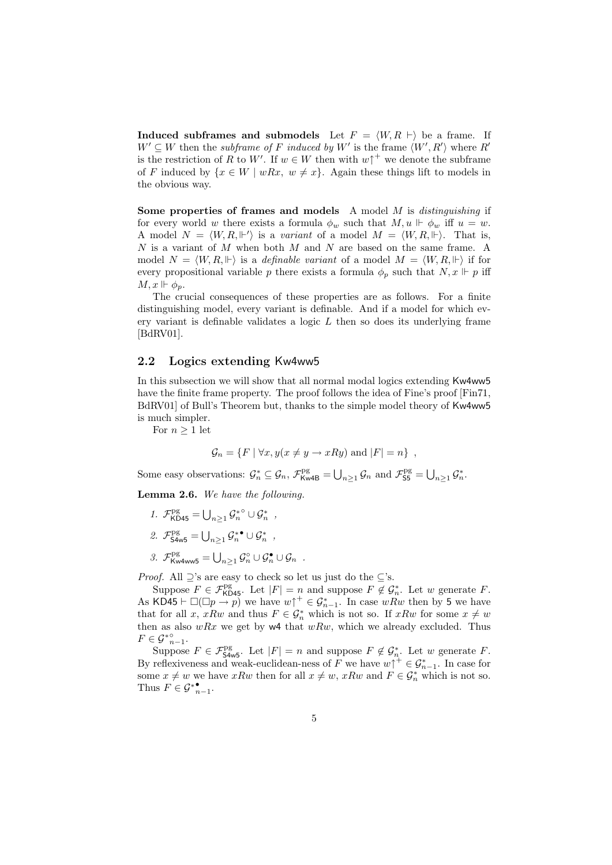Induced subframes and submodels Let  $F = \langle W, R \rangle$  be a frame. If  $W' \subseteq W$  then the *subframe of F induced by W'* is the frame  $\langle W', R' \rangle$  where R' is the restriction of R to W'. If  $w \in W$  then with  $w \uparrow^+$  we denote the subframe of F induced by  $\{x \in W \mid wRx, w \neq x\}$ . Again these things lift to models in the obvious way.

Some properties of frames and models A model  $M$  is *distinguishing* if for every world w there exists a formula  $\phi_w$  such that  $M, u \Vdash \phi_w$  iff  $u = w$ . A model  $N = \langle W, R, \Vdash' \rangle$  is a variant of a model  $M = \langle W, R, \Vdash \rangle$ . That is, N is a variant of M when both M and N are based on the same frame. A model  $N = \langle W, R, \Vdash \rangle$  is a *definable variant* of a model  $M = \langle W, R, \Vdash \rangle$  if for every propositional variable p there exists a formula  $\phi_p$  such that  $N, x \Vdash p$  iff  $M, x \Vdash \phi_p.$ 

The crucial consequences of these properties are as follows. For a finite distinguishing model, every variant is definable. And if a model for which every variant is definable validates a logic  $L$  then so does its underlying frame [BdRV01].

#### 2.2 Logics extending Kw4ww5

In this subsection we will show that all normal modal logics extending Kw4ww5 have the finite frame property. The proof follows the idea of Fine's proof [Fin71, BdRV01] of Bull's Theorem but, thanks to the simple model theory of Kw4ww5 is much simpler.

For  $n \geq 1$  let

$$
\mathcal{G}_n = \{ F \mid \forall x, y (x \neq y \rightarrow xRy) \text{ and } |F| = n \},
$$

Some easy observations:  $\mathcal{G}_n^* \subseteq \mathcal{G}_n$ ,  $\mathcal{F}_{\mathsf{Kw4B}}^{\mathsf{pg}} = \bigcup_{n \geq 1} \mathcal{G}_n$  and  $\mathcal{F}_{\mathsf{S5}}^{\mathsf{pg}} = \bigcup_{n \geq 1} \mathcal{G}_n^*$ .

Lemma 2.6. We have the following.

- 1.  $\mathcal{F}^{\text{pg}}_{\text{KD45}} = \bigcup_{n \geq 1} \mathcal{G}^{*^{\circ}}_n \cup \mathcal{G}^{*}_n$ ,
- 2.  $\mathcal{F}_{\mathsf{S4w5}}^{\mathrm{pg}} = \bigcup_{n\geq 1} \mathcal{G}_{n}^{*} \bullet \cup \mathcal{G}_{n}^{*}$ ,
- $\mathcal{G}. \ \ \mathcal{F}^{\mathrm{pg}}_{\mathrm{Kw4ww5}} = \bigcup_{n\geq 1} \mathcal{G}^{\circ}_n \cup \mathcal{G}^{\bullet}_n \cup \mathcal{G}_n \ \ .$

*Proof.* All  $\supseteq$ 's are easy to check so let us just do the  $\subseteq$ 's.

Suppose  $F \in \mathcal{F}_{\mathsf{KD45}}^{\mathsf{pg}}$ . Let  $|F| = n$  and suppose  $F \notin \mathcal{G}_n^*$ . Let w generate  $F$ . As KD45  $\vdash \Box(\Box p \to p)$  we have  $w \uparrow^+ \in \mathcal{G}_{n-1}^*$ . In case wRw then by 5 we have that for all x, xRw and thus  $F \in \mathcal{G}_n^*$  which is not so. If  $xRw$  for some  $x \neq w$ then as also  $wRx$  we get by  $w4$  that  $wRw$ , which we already excluded. Thus  $F\in \mathcal{G}^*_{n-1}^{\circ}.$ 

Suppose  $F \in \mathcal{F}^{pg}_{\mathsf{S4w5}}$ . Let  $|F| = n$  and suppose  $F \notin \mathcal{G}^*_{n}$ . Let w generate  $F$ . By reflexiveness and weak-euclidean-ness of F we have  $w\uparrow^+ \in \mathcal{G}_{n-1}^*$ . In case for some  $x \neq w$  we have xRw then for all  $x \neq w$ , xRw and  $F \in \mathcal{G}_n^*$  which is not so. Thus  $F \in \mathcal{G}^*_{n-1}^{\bullet}$ .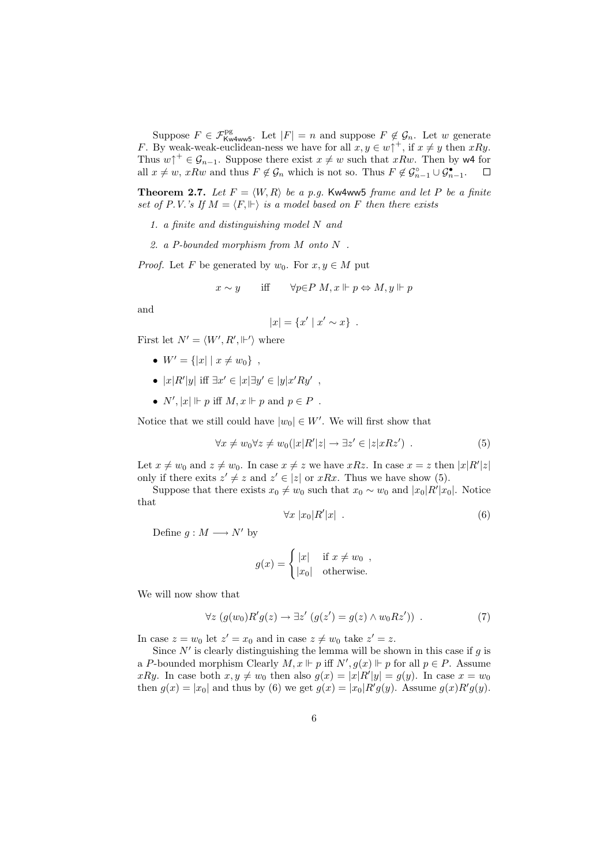Suppose  $F \in \mathcal{F}_{\text{Kw4ww5}}^{\text{pg}}$ . Let  $|F| = n$  and suppose  $F \notin \mathcal{G}_n$ . Let w generate F. By weak-weak-euclidean-ness we have for all  $x, y \in w \uparrow^+$ , if  $x \neq y$  then  $xRy$ . Thus  $w \uparrow^+ \in \mathcal{G}_{n-1}$ . Suppose there exist  $x \neq w$  such that  $xRw$ . Then by w4 for all  $x \neq w$ ,  $xRw$  and thus  $F \notin \mathcal{G}_n$  which is not so. Thus  $F \notin \mathcal{G}_{n-1}^{\bullet} \cup \mathcal{G}_{n-1}^{\bullet}$ . all  $x \neq w$ ,  $xRw$  and thus  $F \notin \mathcal{G}_n$  which is not so. Thus  $F \notin \mathcal{G}_{n-1}^{\circ} \cup \mathcal{G}_{n-1}^{\bullet}$ .

**Theorem 2.7.** Let  $F = \langle W, R \rangle$  be a p.q. Kw4ww5 frame and let P be a finite set of P.V.'s If  $M = \langle F, \Vdash \rangle$  is a model based on F then there exists

- 1. a finite and distinguishing model N and
- 2. a P-bounded morphism from M onto N .

*Proof.* Let F be generated by  $w_0$ . For  $x, y \in M$  put

$$
x \sim y
$$
 iff  $\forall p \in P \ M, x \Vdash p \Leftrightarrow M, y \Vdash p$ 

and

$$
|x| = \{x' \mid x' \sim x\} .
$$

First let  $N' = \langle W', R', \Vdash' \rangle$  where

- $W' = \{|x| \mid x \neq w_0\},$
- $|x|R'|y|$  iff  $\exists x' \in |x| \exists y' \in |y|x'Ry'$ ,
- $N', |x| \Vdash p$  iff  $M, x \Vdash p$  and  $p \in P$ .

Notice that we still could have  $|w_0| \in W'$ . We will first show that

$$
\forall x \neq w_0 \forall z \neq w_0(|x|R'|z| \to \exists z' \in |z|xRz') . \tag{5}
$$

Let  $x \neq w_0$  and  $z \neq w_0$ . In case  $x \neq z$  we have  $xRz$ . In case  $x = z$  then  $|x|R'|z|$ only if there exits  $z' \neq z$  and  $z' \in |z|$  or  $xRx$ . Thus we have show (5).

Suppose that there exists  $x_0 \neq w_0$  such that  $x_0 \sim w_0$  and  $|x_0|R'|x_0|$ . Notice that

$$
\forall x \; |x_0|R'|x| \; . \tag{6}
$$

Define  $g : M \longrightarrow N'$  by

$$
g(x) = \begin{cases} |x| & \text{if } x \neq w_0 ,\\ |x_0| & \text{otherwise.} \end{cases}
$$

We will now show that

$$
\forall z \ (g(w_0)R'g(z) \to \exists z' \ (g(z') = g(z) \land w_0 R z')) \ . \tag{7}
$$

In case  $z = w_0$  let  $z' = x_0$  and in case  $z \neq w_0$  take  $z' = z$ .

Since  $N'$  is clearly distinguishing the lemma will be shown in this case if g is a P-bounded morphism Clearly  $M, x \Vdash p$  iff  $N', g(x) \Vdash p$  for all  $p \in P$ . Assume xRy. In case both  $x, y \neq w_0$  then also  $g(x) = |x|R'|y| = g(y)$ . In case  $x = w_0$ then  $g(x) = |x_0|$  and thus by (6) we get  $g(x) = |x_0|R'g(y)$ . Assume  $g(x)R'g(y)$ .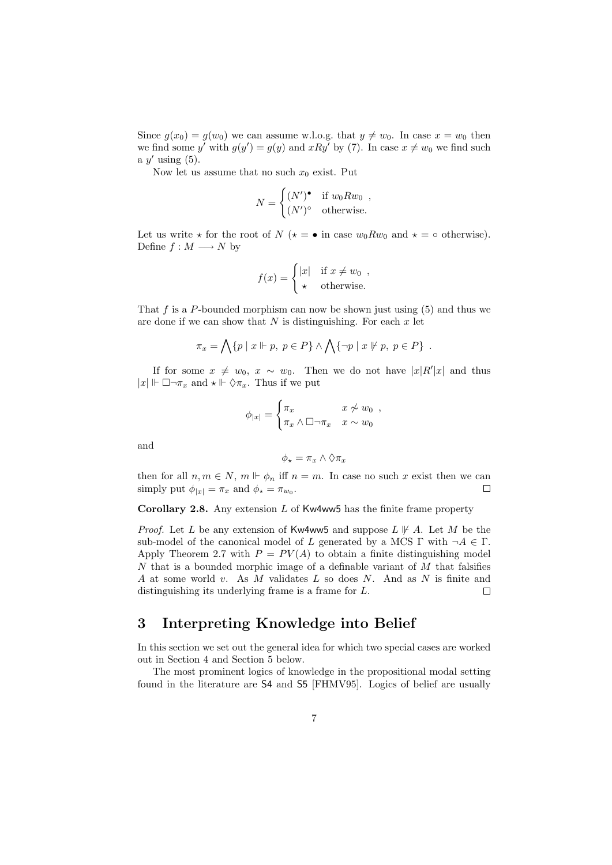Since  $g(x_0) = g(w_0)$  we can assume w.l.o.g. that  $y \neq w_0$ . In case  $x = w_0$  then we find some y' with  $g(y') = g(y)$  and  $xRy'$  by (7). In case  $x \neq w_0$  we find such a  $y'$  using  $(5)$ .

Now let us assume that no such  $x_0$  exist. Put

$$
N = \begin{cases} (N')^{\bullet} & \text{if } w_0 R w_0 , \\ (N')^{\circ} & \text{otherwise.} \end{cases}
$$

Let us write  $\star$  for the root of N ( $\star = \bullet$  in case  $w_0 R w_0$  and  $\star = \circ$  otherwise). Define  $f : M \longrightarrow N$  by

$$
f(x) = \begin{cases} |x| & \text{if } x \neq w_0 ,\\ \star & \text{otherwise.} \end{cases}
$$

That f is a P-bounded morphism can now be shown just using  $(5)$  and thus we are done if we can show that  $N$  is distinguishing. For each  $x$  let

$$
\pi_x = \bigwedge \{ p \mid x \Vdash p, \ p \in P \} \land \bigwedge \{ \neg p \mid x \not\Vdash p, \ p \in P \} .
$$

If for some  $x \neq w_0, x \sim w_0$ . Then we do not have  $|x|R'|x|$  and thus  $|x| \Vdash \Box \neg \pi_x$  and  $\star \Vdash \Diamond \pi_x$ . Thus if we put

$$
\phi_{|x|} = \begin{cases} \pi_x & x \not\sim w_0 \\ \pi_x \wedge \Box \neg \pi_x & x \sim w_0 \end{cases}
$$

and

$$
\phi_\star = \pi_x \wedge \Diamond \pi_x
$$

then for all  $n, m \in N$ ,  $m \Vdash \phi_n$  iff  $n = m$ . In case no such x exist then we can simply put  $\phi_{|x|} = \pi_x$  and  $\phi_* = \pi_{w_0}$ . simply put  $\phi_{|x|} = \pi_x$  and  $\phi_{\star} = \pi_{w_0}$ .

Corollary 2.8. Any extension  $L$  of Kw4ww5 has the finite frame property

*Proof.* Let L be any extension of Kw4ww5 and suppose  $L \not\parallel A$ . Let M be the sub-model of the canonical model of L generated by a MCS  $\Gamma$  with  $\neg A \in \Gamma$ . Apply Theorem 2.7 with  $P = PV(A)$  to obtain a finite distinguishing model  $N$  that is a bounded morphic image of a definable variant of  $M$  that falsifies A at some world v. As  $M$  validates  $L$  so does  $N$ . And as  $N$  is finite and distinguishing its underlying frame is a frame for L.  $\Box$ 

## 3 Interpreting Knowledge into Belief

In this section we set out the general idea for which two special cases are worked out in Section 4 and Section 5 below.

The most prominent logics of knowledge in the propositional modal setting found in the literature are S4 and S5 [FHMV95]. Logics of belief are usually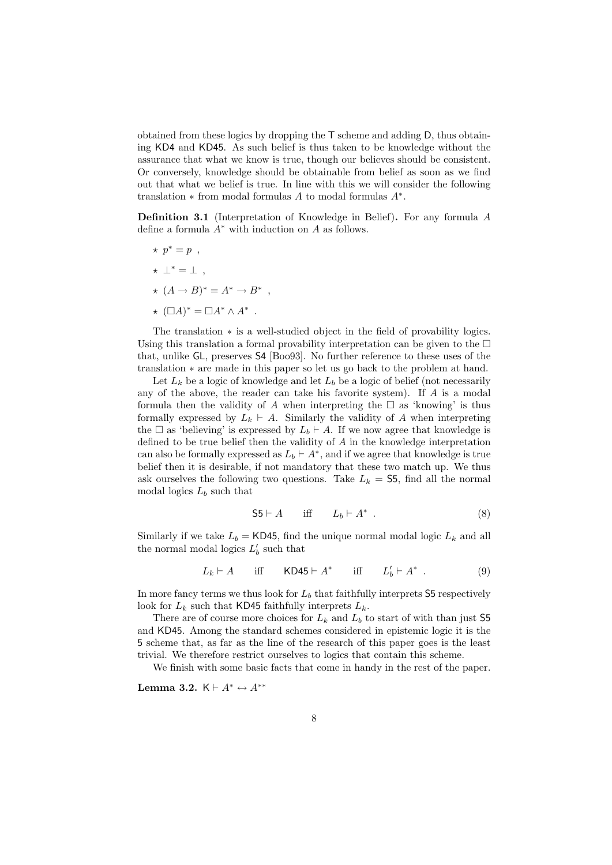obtained from these logics by dropping the T scheme and adding D, thus obtaining KD4 and KD45. As such belief is thus taken to be knowledge without the assurance that what we know is true, though our believes should be consistent. Or conversely, knowledge should be obtainable from belief as soon as we find out that what we belief is true. In line with this we will consider the following translation  $*$  from modal formulas A to modal formulas  $A^*$ .

Definition 3.1 (Interpretation of Knowledge in Belief). For any formula A define a formula  $A^*$  with induction on A as follows.

- $\star p^* = p$ ,
- $\star \perp^* = \perp$ ,
- $\star$   $(A \rightarrow B)^* = A^* \rightarrow B^*$ .
- $\star$   $(\Box A)^* = \Box A^* \wedge A^*$ .

The translation ∗ is a well-studied object in the field of provability logics. Using this translation a formal provability interpretation can be given to the  $\Box$ that, unlike GL, preserves S4 [Boo93]. No further reference to these uses of the translation ∗ are made in this paper so let us go back to the problem at hand.

Let  $L_k$  be a logic of knowledge and let  $L_b$  be a logic of belief (not necessarily any of the above, the reader can take his favorite system). If A is a modal formula then the validity of A when interpreting the  $\Box$  as 'knowing' is thus formally expressed by  $L_k \vdash A$ . Similarly the validity of A when interpreting the  $\Box$  as 'believing' is expressed by  $L_b \vdash A$ . If we now agree that knowledge is defined to be true belief then the validity of A in the knowledge interpretation can also be formally expressed as  $L_b \vdash A^*$ , and if we agree that knowledge is true belief then it is desirable, if not mandatory that these two match up. We thus ask ourselves the following two questions. Take  $L_k =$  55, find all the normal modal logics  $L_b$  such that

$$
\mathsf{S5} \vdash A \quad \text{iff} \quad L_b \vdash A^* \ . \tag{8}
$$

Similarly if we take  $L_b = \text{KD45}$ , find the unique normal modal logic  $L_k$  and all the normal modal logics  $L_b'$  such that

$$
L_k \vdash A \quad \text{iff} \quad \mathsf{KD45} \vdash A^* \quad \text{iff} \quad L'_b \vdash A^* \ . \tag{9}
$$

In more fancy terms we thus look for  $L_b$  that faithfully interprets  $S5$  respectively look for  $L_k$  such that KD45 faithfully interprets  $L_k$ .

There are of course more choices for  $L_k$  and  $L_b$  to start of with than just 55 and KD45. Among the standard schemes considered in epistemic logic it is the 5 scheme that, as far as the line of the research of this paper goes is the least trivial. We therefore restrict ourselves to logics that contain this scheme.

We finish with some basic facts that come in handy in the rest of the paper.

Lemma 3.2.  $K \vdash A^* \leftrightarrow A^{**}$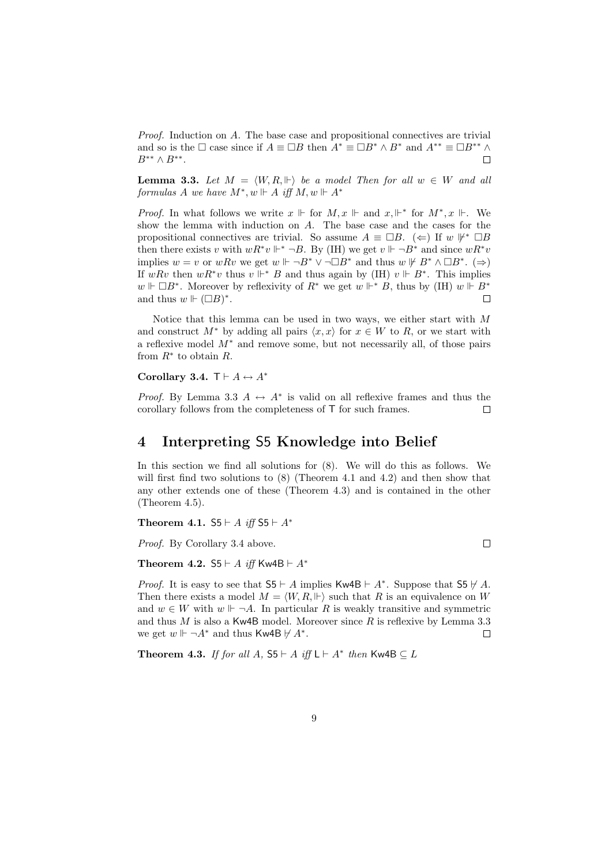Proof. Induction on A. The base case and propositional connectives are trivial and so is the  $\Box$  case since if  $A \equiv \Box B$  then  $A^* \equiv \Box B^* \wedge B^*$  and  $A^{**} \equiv \Box B^{**} \wedge B^{**}$ .  $B^{**} \wedge B^{**}.$ 

**Lemma 3.3.** Let  $M = \langle W, R, \Vdash \rangle$  be a model Then for all  $w \in W$  and all formulas A we have  $M^*, w \Vdash A$  iff  $M, w \Vdash A^*$ 

*Proof.* In what follows we write  $x \Vdash$  for  $M, x \Vdash$  and  $x \Vdash^*$  for  $M^*, x \Vdash$ . We show the lemma with induction on A. The base case and the cases for the propositional connectives are trivial. So assume  $A \equiv \Box B$ . ( $\Leftarrow$ ) If w  $\mathcal{F}^* \Box B$ then there exists v with  $wR^*v \Vdash^* \neg B$ . By (IH) we get  $v \Vdash \neg B^*$  and since  $wR^*v$ implies  $w = v$  or  $wRv$  we get  $w \Vdash \neg B^* \vee \neg \Box B^*$  and thus  $w \Vdash B^* \wedge \Box B^*$ . ( $\Rightarrow$ ) If wRv then  $wR^*v$  thus  $v \Vdash^* B$  and thus again by (IH)  $v \Vdash B^*$ . This implies w  $\mathbb{H} \Box B^*$ . Moreover by reflexivity of  $R^*$  we get w  $\mathbb{H}^* B$ , thus by (IH) w  $\mathbb{H} B^*$ and thus  $w \Vdash (\Box B)^*$ .  $\Box$ 

Notice that this lemma can be used in two ways, we either start with M and construct  $M^*$  by adding all pairs  $\langle x, x \rangle$  for  $x \in W$  to R, or we start with a reflexive model M<sup>∗</sup> and remove some, but not necessarily all, of those pairs from  $R^*$  to obtain R.

#### Corollary 3.4.  $\mathsf{T} \vdash A \leftrightarrow A^*$

*Proof.* By Lemma 3.3  $A \leftrightarrow A^*$  is valid on all reflexive frames and thus the corollary follows from the completeness of T for such frames corollary follows from the completeness of T for such frames.

### 4 Interpreting S5 Knowledge into Belief

In this section we find all solutions for (8). We will do this as follows. We will first find two solutions to  $(8)$  (Theorem 4.1 and 4.2) and then show that any other extends one of these (Theorem 4.3) and is contained in the other (Theorem 4.5).

 $\Box$ 

Theorem 4.1.  $55 \vdash A$  iff  $55 \vdash A^*$ 

Proof. By Corollary 3.4 above.

Theorem 4.2. S5  $\vdash$  A iff Kw4B  $\vdash$  A<sup>\*</sup>

*Proof.* It is easy to see that  $55 \vdash A$  implies Kw4B  $\vdash A^*$ . Suppose that  $55 \not\vdash A$ . Then there exists a model  $M = \langle W, R, \Vdash \rangle$  such that R is an equivalence on W and  $w \in W$  with  $w \Vdash \neg A$ . In particular R is weakly transitive and symmetric and thus M is also a Kw4B model. Moreover since R is reflexive by Lemma 3.3 we get  $w \Vdash \neg A^*$  and thus Kw4B  $\nvdash A^*$ .  $\Box$ 

Theorem 4.3. If for all A,  $55 \vdash A$  iff  $L \vdash A^*$  then Kw4B  $\subseteq L$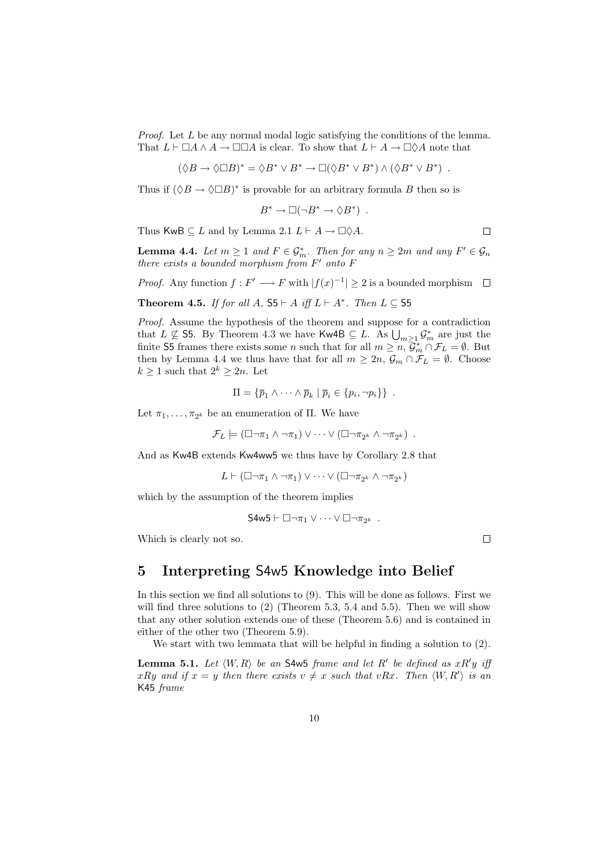*Proof.* Let  $L$  be any normal modal logic satisfying the conditions of the lemma. That  $L \vdash \Box A \land A \rightarrow \Box \Box A$  is clear. To show that  $L \vdash A \rightarrow \Box \Diamond A$  note that

$$
(\Diamond B \to \Diamond \Box B)^* = \Diamond B^* \lor B^* \to \Box (\Diamond B^* \lor B^*) \land (\Diamond B^* \lor B^*) .
$$

Thus if  $(\Diamond B \to \Diamond \Box B)^*$  is provable for an arbitrary formula B then so is

$$
B^* \to \Box(\neg B^* \to \Diamond B^*) .
$$

Thus KwB  $\subseteq L$  and by Lemma 2.1  $L \vdash A \to \Box \Diamond A$ .

**Lemma 4.4.** Let  $m \geq 1$  and  $F \in \mathcal{G}_m^*$ . Then for any  $n \geq 2m$  and any  $F' \in \mathcal{G}_n$ there exists a bounded morphism from  $F'$  onto  $F$ 

*Proof.* Any function  $f : F' \longrightarrow F$  with  $|f(x)^{-1}| \geq 2$  is a bounded morphism  $\Box$ 

Theorem 4.5. If for all A,  $S5 \vdash A$  iff  $L \vdash A^*$ . Then  $L \subseteq S5$ 

Proof. Assume the hypothesis of the theorem and suppose for a contradiction that  $L \nsubseteq$  S5. By Theorem 4.3 we have Kw4B  $\subseteq L$ . As  $\bigcup_{m\geq 1} \mathcal{G}_m^*$  are just the finite S5 frames there exists some *n* such that for all  $m \geq n$ ,  $\mathcal{G}_m^* \cap \mathcal{F}_L = \emptyset$ . But then by Lemma 4.4 we thus have that for all  $m \geq 2n$ ,  $\mathcal{G}_m \cap \mathcal{F}_L = \emptyset$ . Choose  $k \geq 1$  such that  $2^k \geq 2n$ . Let

$$
\Pi = \{ \overline{p}_1 \wedge \cdots \wedge \overline{p}_k \mid \overline{p}_i \in \{p_i, \neg p_i\} \} .
$$

Let  $\pi_1, \ldots, \pi_{2^k}$  be an enumeration of Π. We have

 $\mathcal{F}_L \models (\Box \neg \pi_1 \land \neg \pi_1) \lor \cdots \lor (\Box \neg \pi_{2^k} \land \neg \pi_{2^k})$ .

And as Kw4B extends Kw4ww5 we thus have by Corollary 2.8 that

 $L \vdash (\Box \neg \pi_1 \land \neg \pi_1) \lor \cdots \lor (\Box \neg \pi_{2^k} \land \neg \pi_{2^k})$ 

which by the assumption of the theorem implies

$$
S4w5 \vdash \Box \neg \pi_1 \vee \cdots \vee \Box \neg \pi_{2^k} .
$$

Which is clearly not so.

### 5 Interpreting S4w5 Knowledge into Belief

In this section we find all solutions to (9). This will be done as follows. First we will find three solutions to  $(2)$  (Theorem 5.3, 5.4 and 5.5). Then we will show that any other solution extends one of these (Theorem 5.6) and is contained in either of the other two (Theorem 5.9).

We start with two lemmata that will be helpful in finding a solution to (2).

**Lemma 5.1.** Let  $\langle W, R \rangle$  be an **S4w5** frame and let R' be defined as  $xR'y$  if  $xRy$  and if  $x = y$  then there exists  $v \neq x$  such that vRx. Then  $\langle W, R' \rangle$  is an K45 frame

 $\Box$ 

 $\Box$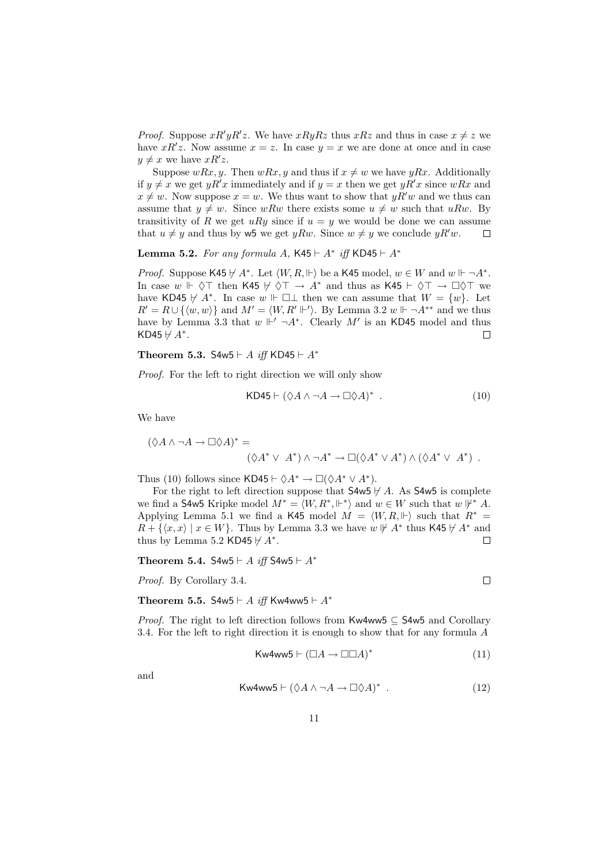*Proof.* Suppose  $xR'yR'z$ . We have  $xRyRz$  thus  $xRz$  and thus in case  $x \neq z$  we have  $xR'z$ . Now assume  $x = z$ . In case  $y = x$  we are done at once and in case  $y \neq x$  we have  $xR'z$ .

Suppose  $wRx, y$ . Then  $wRx, y$  and thus if  $x \neq w$  we have  $yRx$ . Additionally if  $y \neq x$  we get  $yR'x$  immediately and if  $y = x$  then we get  $yR'x$  since  $wRx$  and  $x \neq w$ . Now suppose  $x = w$ . We thus want to show that  $yR'w$  and we thus can assume that  $y \neq w$ . Since wRw there exists some  $u \neq w$  such that uRw. By transitivity of R we get uRy since if  $u = y$  we would be done we can assume that  $u \neq y$  and thus by w5 we get  $yRw$ . Since  $w \neq y$  we conclude  $yR'w$ .  $\Box$ 

Lemma 5.2. For any formula A, K45  $\vdash A^*$  iff KD45  $\vdash A^*$ 

*Proof.* Suppose K45  $\nvdash A^*$ . Let  $\langle W, R, \Vdash \rangle$  be a K45 model,  $w \in W$  and  $w \Vdash \neg A^*$ . In case  $w \Vdash \Diamond \top$  then K45  $\nvdash \Diamond \top \rightarrow A^*$  and thus as K45  $\vdash \Diamond \top \rightarrow \Box \Diamond \top$  we have KD45  $\forall A^*$ . In case w  $\Vdash \Box \bot$  then we can assume that  $W = \{w\}$ . Let  $R' = R \cup \{ \langle w, w \rangle \}$  and  $M' = \langle W, R' \Vdash' \rangle$ . By Lemma 3.2  $w \Vdash \neg A^{**}$  and we thus have by Lemma 3.3 that  $w \Vdash' \neg A^*$ . Clearly  $M'$  is an KD45 model and thus KD45  $\forall A^*$ . KD45  $\forall$  A<sup>\*</sup>.

Theorem 5.3. S4w5  $\vdash$  A iff KD45  $\vdash$  A<sup>\*</sup>

Proof. For the left to right direction we will only show

$$
KD45 \vdash (\Diamond A \land \neg A \to \Box \Diamond A)^* \ . \tag{10}
$$

We have

$$
(\Diamond A \land \neg A \to \Box \Diamond A)^* =
$$
  

$$
(\Diamond A^* \lor A^*) \land \neg A^* \to \Box (\Diamond A^* \lor A^*) \land (\Diamond A^* \lor A^*) .
$$

Thus (10) follows since KD45  $\vdash \Diamond A^* \to \Box (\Diamond A^* \vee A^*).$ 

For the right to left direction suppose that  $\mathsf{S4w5} \not\vdash A$ . As  $\mathsf{S4w5}$  is complete we find a S4w5 Kripke model  $M^* = \langle W, R^*, \Vdash^* \rangle$  and  $w \in W$  such that  $w \not\Vdash^* A$ . Applying Lemma 5.1 we find a K45 model  $M = \langle W, R, \Vdash \rangle$  such that  $R^* =$  $R + \{\langle x, x \rangle \mid x \in W\}$ . Thus by Lemma 3.3 we have  $w \not\vdash A^*$  thus K45  $\nvdash A^*$  and thus by Lemma 5.2 KD45  $\nvdash A^*$ . thus by Lemma 5.2 KD45  $\forall A^*$ .

Theorem 5.4. S4w5  $\vdash$  A iff S4w5  $\vdash$  A<sup>\*</sup>

Proof. By Corollary 3.4.

Theorem 5.5. S4w5  $\vdash$  A iff Kw4ww5  $\vdash$  A\*

Proof. The right to left direction follows from Kw4ww5 ⊆ S4w5 and Corollary 3.4. For the left to right direction it is enough to show that for any formula A

$$
\mathsf{Kw4ww5} \vdash (\Box A \to \Box \Box A)^* \tag{11}
$$

and

$$
\mathsf{Kw4ww5} \vdash (\Diamond A \land \neg A \to \Box \Diamond A)^* \ . \tag{12}
$$

 $\Box$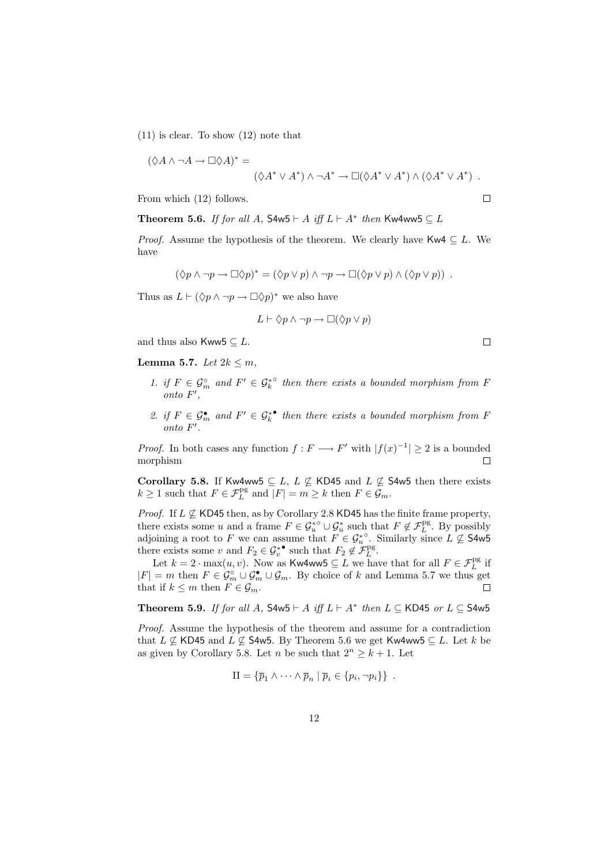(11) is clear. To show (12) note that

$$
(\Diamond A \land \neg A \to \Box \Diamond A)^* =
$$
  

$$
(\Diamond A^* \lor A^*) \land \neg A^* \to \Box (\Diamond A^* \lor A^*) \land (\Diamond A^* \lor A^*) .
$$

From which (12) follows.

Theorem 5.6. If for all A,  $S4w5 \vdash A$  iff  $L \vdash A^*$  then Kw4ww5  $\subseteq L$ 

*Proof.* Assume the hypothesis of the theorem. We clearly have Kw4  $\subseteq L$ . We have

$$
(\Diamond p \land \neg p \to \Box \Diamond p)^* = (\Diamond p \lor p) \land \neg p \to \Box (\Diamond p \lor p) \land (\Diamond p \lor p)) .
$$

Thus as  $L \vdash (\Diamond p \land \neg p \rightarrow \Box \Diamond p)^*$  we also have

$$
L \vdash \Diamond p \wedge \neg p \rightarrow \Box(\Diamond p \vee p)
$$

and thus also Kww5  $\subseteq$  L.

Lemma 5.7. Let  $2k \leq m$ ,

- 1. if  $F \in \mathcal{G}_m^{\circ}$  and  $F' \in \mathcal{G}_k^{* \circ}$  then there exists a bounded morphism from F  $onto F',$
- 2. if  $F \in \mathcal{G}_m^{\bullet}$  and  $F' \in \mathcal{G}_k^{*\bullet}$  then there exists a bounded morphism from F onto  $F'$ .

*Proof.* In both cases any function  $f : F \longrightarrow F'$  with  $|f(x)^{-1}| \ge 2$  is a bounded morphism morphism

Corollary 5.8. If Kw4ww5  $\subseteq L$ ,  $L \nsubseteq$  KD45 and  $L \nsubseteq$  S4w5 then there exists  $k \geq 1$  such that  $F \in \mathcal{F}_L^{\text{pg}}$  and  $|F| = m \geq k$  then  $F \in \mathcal{G}_m$ .

*Proof.* If  $L \not\subseteq$  KD45 then, as by Corollary 2.8 KD45 has the finite frame property, there exists some u and a frame  $F \in \mathcal{G}_u^{* \circ} \cup \mathcal{G}_u^*$  such that  $F \notin \mathcal{F}_L^{\text{pg}}$ . By possibly adjoining a root to F we can assume that  $F \in \mathcal{G}_u^*$ . Similarly since  $L \not\subseteq$  S4w5 there exists some v and  $F_2 \in \mathcal{G}_v^{*}$  such that  $F_2 \notin \mathcal{F}_L^{\text{pg}}$ .

Let  $k = 2 \cdot \max(u, v)$ . Now as Kw4ww5  $\subseteq L$  we have that for all  $F \in \mathcal{F}_L^{\text{pg}}$  if  $|F| = m$  then  $F \in \mathcal{G}_m^{\circ} \cup \mathcal{G}_m^{\bullet} \cup \mathcal{G}_m$ . By choice of k and Lemma 5.7 we thus get that if  $k \leq m$  then  $F \in \mathcal{G}_m$ .

Theorem 5.9. If for all A,  $S4w5 \vdash A$  iff  $L \vdash A^*$  then  $L \subseteq KD45$  or  $L \subseteq S4w5$ 

Proof. Assume the hypothesis of the theorem and assume for a contradiction that  $L \not\subseteq$  KD45 and  $L \not\subseteq$  S4w5. By Theorem 5.6 we get Kw4ww5  $\subseteq L$ . Let k be as given by Corollary 5.8. Let n be such that  $2^n \geq k+1$ . Let

$$
\Pi = \{ \overline{p}_1 \wedge \cdots \wedge \overline{p}_n \mid \overline{p}_i \in \{p_i, \neg p_i\} \} .
$$

 $\Box$ 

 $\Box$